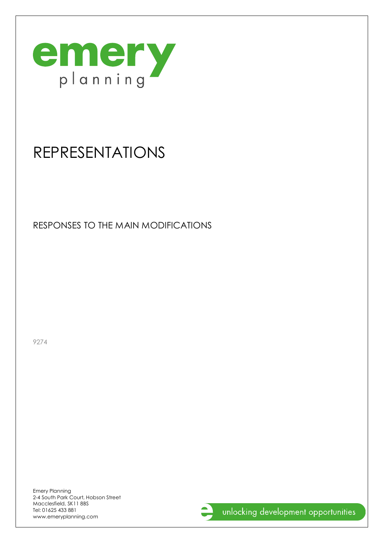

# REPRESENTATIONS

RESPONSES TO THE MAIN MODIFICATIONS

9274

Emery Planning 2-4 South Park Court, Hobson Street Macclesfield, SK11 8BS Tel: 01625 433 881 www.emeryplanning.com

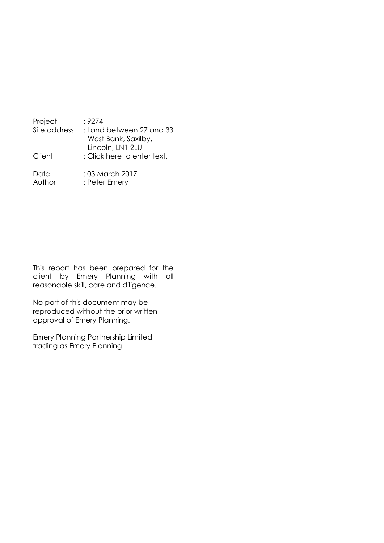| Project        | :9274                                           |
|----------------|-------------------------------------------------|
| Site address   | : Land between 27 and 33<br>West Bank, Saxilby, |
|                | Lincoln, LN1 2LU                                |
| Client         | : Click here to enter text.                     |
| Date<br>Author | : 03 March 2017<br>: Peter Emery                |

This report has been prepared for the client by Emery Planning with all reasonable skill, care and diligence.

No part of this document may be reproduced without the prior written approval of Emery Planning.

Emery Planning Partnership Limited trading as Emery Planning.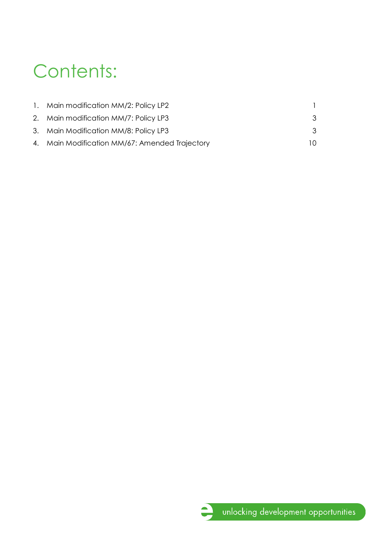# Contents:

| 1. Main modification MM/2: Policy LP2          |    |
|------------------------------------------------|----|
| 2. Main modification MM/7: Policy LP3          | 3  |
| 3. Main Modification MM/8: Policy LP3          | 3  |
| 4. Main Modification MM/67: Amended Trajectory | 10 |

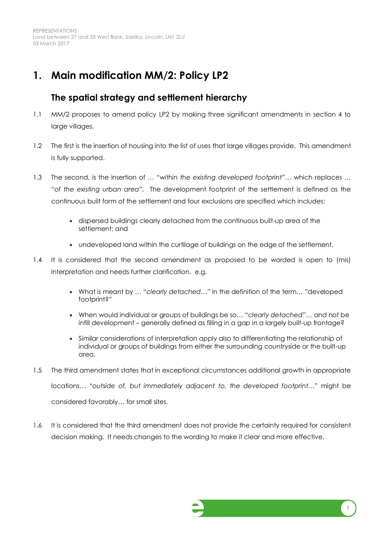REPRESENTATIONS Land between 27 and 33 West Bank, Saxilby, Lincoln, LN1 2LU 03 March 2017

### **1. Main modification MM/2: Policy LP2**

#### **The spatial strategy and settlement hierarchy**

- 1.1 MM/2 proposes to amend policy LP2 by making three significant amendments in section 4 to large villages.
- 1.2 The first is the insertion of housing into the list of uses that large villages provide. This amendment is fully supported.
- 1.3 The second, is the insertion of … "*within the existing developed footprint"…* which replaces *… "of the existing urban area"*. The development footprint of the settlement is defined as the continuous built form of the settlement and four exclusions are specified which includes:
	- · dispersed buildings clearly detached from the continuous built-up area of the settlement; and
	- · undeveloped land within the curtilage of buildings on the edge of the settlement.
- 1.4 It is considered that the second amendment as proposed to be worded is open to (mis) interpretation and needs further clarification. e.g.
	- · What is meant by … "*clearly detached…"* in the definition of the term*…* "developed footprint?"
	- · When would individual or groups of buildings be so… "*clearly detached*"… and not be infill development – generally defined as filling in a gap in a largely built-up frontage?
	- · Similar considerations of interpretation apply also to differentiating the relationship of individual or groups of buildings from either the surrounding countryside or the built-up area.
- 1.5 The third amendment states that in exceptional circumstances additional growth in appropriate locations… "*outside of, but immediately adjacent to, the developed footprint…*" might be considered favorably… for small sites.
- 1.6 It is considered that the third amendment does not provide the certainty required for consistent decision making. It needs changes to the wording to make it clear and more effective.

<span id="page-3-0"></span>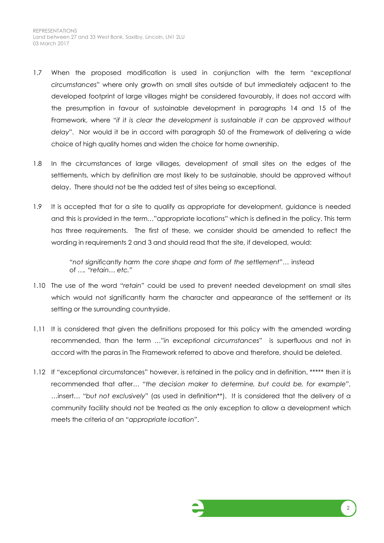- 1.7 When the proposed modification is used in conjunction with the term "*exceptional circumstances*" where only growth on small sites outside of but immediately adjacent to the developed footprint of large villages might be considered favourably, it does not accord with the presumption in favour of sustainable development in paragraphs 14 and 15 of the Framework, where "*if it is clear the development is sustainable it can be approved without delay*". Nor would it be in accord with paragraph 50 of the Framework of delivering a wide choice of high quality homes and widen the choice for home ownership.
- 1.8 In the circumstances of large villages, development of small sites on the edges of the settlements, which by definition are most likely to be sustainable, should be approved without delay. There should not be the added test of sites being so exceptional.
- 1.9 It is accepted that for a site to qualify as appropriate for development, guidance is needed and this is provided in the term…"appropriate locations" which is defined in the policy. This term has three requirements. The first of these, we consider should be amended to reflect the wording in requirements 2 and 3 and should read that the site, if developed, would:

*"not significantly harm the core shape and form of the settlement"…* instead of *…. "retain… etc."*

- 1.10 The use of the word "*retain*" could be used to prevent needed development on small sites which would not significantly harm the character and appearance of the settlement or its setting or the surrounding countryside.
- 1.11 It is considered that given the definitions proposed for this policy with the amended wording recommended, than the term …"*in exceptional circumstances*" is superfluous and not in accord with the paras in The Framework referred to above and therefore, should be deleted.
- 1.12 If "exceptional circumstances" however, is retained in the policy and in definition, \*\*\*\*\* then it is recommended that after… "*the decision maker to determine, but could be, for example*", …insert… "*but not exclusively*" (as used in definition\*\*). It is considered that the delivery of a community facility should not be treated as the only exception to allow a development which meets the criteria of an "*appropriate location*".

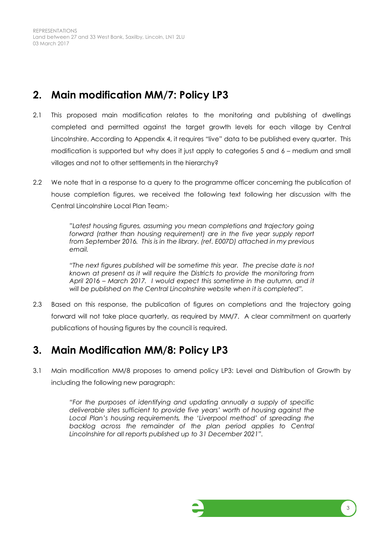REPRESENTATIONS Land between 27 and 33 West Bank, Saxilby, Lincoln, LN1 2LU 03 March 2017

## **2. Main modification MM/7: Policy LP3**

- 2.1 This proposed main modification relates to the monitoring and publishing of dwellings completed and permitted against the target growth levels for each village by Central Lincolnshire. According to Appendix 4, it requires "live" data to be published every quarter. This modification is supported but why does it just apply to categories 5 and 6 – medium and small villages and not to other settlements in the hierarchy?
- 2.2 We note that in a response to a query to the programme officer concerning the publication of house completion figures, we received the following text following her discussion with the Central Lincolnshire Local Plan Team:-

*"Latest housing figures, assuming you mean completions and trajectory going forward (rather than housing requirement) are in the five year supply report from September 2016. This is in the library. (ref. E007D) attached in my previous email.*

*"The next figures published will be sometime this year. The precise date is not known at present as it will require the Districts to provide the monitoring from April 2016 – March 2017. I would expect this sometime in the autumn, and it will be published on the Central Lincolnshire website when it is completed".*

2.3 Based on this response, the publication of figures on completions and the trajectory going forward will not take place quarterly, as required by MM/7. A clear commitment on quarterly publications of housing figures by the council is required.

# **3. Main Modification MM/8: Policy LP3**

3.1 Main modification MM/8 proposes to amend policy LP3: Level and Distribution of Growth by including the following new paragraph:

> *"For the purposes of identifying and updating annually a supply of specific deliverable sites sufficient to provide five years' worth of housing against the Local Plan's housing requirements, the 'Liverpool method' of spreading the*  backlog across the remainder of the plan period applies to Central *Lincolnshire for all reports published up to 31 December 2021".*

<span id="page-5-1"></span><span id="page-5-0"></span>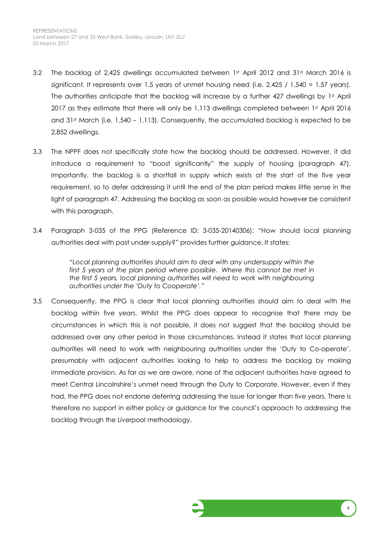- 3.2 The backlog of 2,425 dwellings accumulated between 1st April 2012 and 31st March 2016 is significant. It represents over 1.5 years of unmet housing need (i.e. 2,425 / 1,540 = 1.57 years). The authorities anticipate that the backlog will increase by a further 427 dwellings by 1st April 2017 as they estimate that there will only be 1,113 dwellings completed between 1st April 2016 and  $31st$  March (i.e.  $1,540 - 1,113$ ). Consequently, the accumulated backlog is expected to be 2,852 dwellings.
- 3.3 The NPPF does not specifically state how the backlog should be addressed. However, it did introduce a requirement to "boost significantly" the supply of housing (paragraph 47). Importantly, the backlog is a shortfall in supply which exists at the start of the five year requirement, so to defer addressing it until the end of the plan period makes little sense in the light of paragraph 47. Addressing the backlog as soon as possible would however be consistent with this paragraph.
- 3.4 Paragraph 3-035 of the PPG (Reference ID: 3-035-20140306): "How should local planning authorities deal with past under-supply?" provides further guidance. It states:

*"Local planning authorities should aim to deal with any undersupply within the first 5 years of the plan period where possible. Where this cannot be met in the first 5 years, local planning authorities will need to work with neighbouring authorities under the 'Duty to Cooperate'."*

3.5 Consequently, the PPG is clear that local planning authorities should aim to deal with the backlog within five years. Whilst the PPG does appear to recognise that there may be circumstances in which this is not possible, it does not suggest that the backlog should be addressed over any other period in those circumstances. Instead it states that local planning authorities will need to work with neighbouring authorities under the 'Duty to Co-operate', presumably with adjacent authorities looking to help to address the backlog by making immediate provision. As far as we are aware, none of the adjacent authorities have agreed to meet Central Lincolnshire's unmet need through the Duty to Corporate. However, even if they had, the PPG does not endorse deferring addressing the issue for longer than five years. There is therefore no support in either policy or guidance for the council's approach to addressing the backlog through the Liverpool methodology.

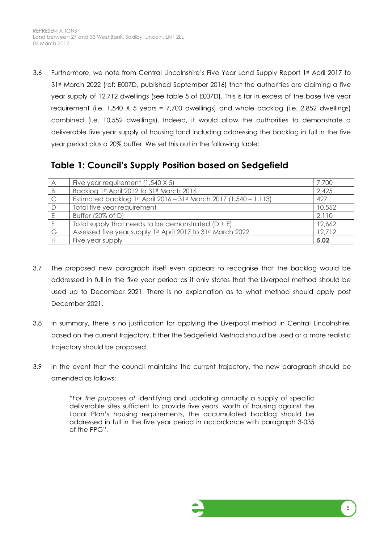3.6 Furthermore, we note from Central Lincolnshire's Five Year Land Supply Report 1st April 2017 to 31st March 2022 (ref: E007D, published September 2016) that the authorities are claiming a five year supply of 12,712 dwellings (see table 5 of E007D). This is far in excess of the base five year requirement (i.e. 1,540 X 5 years = 7,700 dwellings) and whole backlog (i.e. 2,852 dwellings) combined (i.e. 10,552 dwellings). Indeed, it would allow the authorities to demonstrate a deliverable five year supply of housing land including addressing the backlog in full in the five year period plus a 20% buffer. We set this out in the following table:

#### **Table 1: Council's Supply Position based on Sedgefield**

| $\forall$ | Five year requirement (1,540 X 5)                                  | 7,700  |
|-----------|--------------------------------------------------------------------|--------|
|           | Backlog 1st April 2012 to 31st March 2016                          | 2,425  |
|           | Estimated backlog 1st April 2016 - 31st March 2017 (1,540 - 1,113) | 427    |
|           | Total five year requirement                                        | 10,552 |
|           | Buffer $(20\% \text{ of } D)$                                      | 2,110  |
|           | Total supply that needs to be demonstrated $(D + E)$               | 12,662 |
| G         | Assessed five year supply 1st April 2017 to 31st March 2022        | 12,712 |
|           | Five year supply                                                   | 5.02   |

- 3.7 The proposed new paragraph itself even appears to recognise that the backlog would be addressed in full in the five year period as it only states that the Liverpool method should be used up to December 2021. There is no explanation as to what method should apply post December 2021.
- 3.8 In summary, there is no justification for applying the Liverpool method in Central Lincolnshire, based on the current trajectory. Either the Sedgefield Method should be used or a more realistic trajectory should be proposed.
- 3.9 In the event that the council maintains the current trajectory, the new paragraph should be amended as follows:

*"For the purposes of* identifying and updating annually a supply of specific deliverable sites sufficient to provide five years' worth of housing against the Local Plan's housing requirements, the accumulated backlog should be addressed in full in the five year period in accordance with paragraph 3-035 of the PPG".

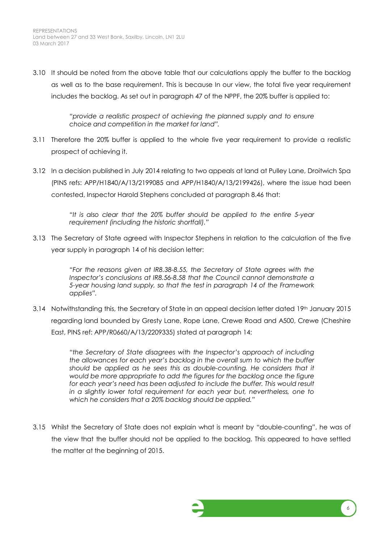3.10 It should be noted from the above table that our calculations apply the buffer to the backlog as well as to the base requirement. This is because In our view, the total five year requirement includes the backlog. As set out in paragraph 47 of the NPPF, the 20% buffer is applied to:

> *"provide a realistic prospect of achieving the planned supply and to ensure choice and competition in the market for land".*

- 3.11 Therefore the 20% buffer is applied to the whole five year requirement to provide a realistic prospect of achieving it.
- 3.12 In a decision published in July 2014 relating to two appeals at land at Pulley Lane, Droitwich Spa (PINS refs: APP/H1840/A/13/2199085 and APP/H1840/A/13/2199426), where the issue had been contested, Inspector Harold Stephens concluded at paragraph 8.46 that:

*"It is also clear that the 20% buffer should be applied to the entire 5-year requirement (including the historic shortfall)."*

3.13 The Secretary of State agreed with Inspector Stephens in relation to the calculation of the five year supply in paragraph 14 of his decision letter:

> *"For the reasons given at IR8.38-8.55, the Secretary of State agrees with the Inspector's conclusions at IR8.56-8.58 that the Council cannot demonstrate a 5-year housing land supply, so that the test in paragraph 14 of the Framework applies".*

3.14 Notwithstanding this, the Secretary of State in an appeal decision letter dated 19th January 2015 regarding land bounded by Gresty Lane, Rope Lane, Crewe Road and A500, Crewe (Cheshire East, PINS ref: APP/R0660/A/13/2209335) stated at paragraph 14:

> *"the Secretary of State disagrees with the Inspector's approach of including the allowances for each year's backlog in the overall sum to which the buffer*  should be applied as he sees this as double-counting. He considers that it *would be more appropriate to add the figures for the backlog once the figure for each year's need has been adjusted to include the buffer. This would result in a slightly lower total requirement for each year but, nevertheless, one to which he considers that a 20% backlog should be applied."*

3.15 Whilst the Secretary of State does not explain what is meant by "double-counting", he was of the view that the buffer should not be applied to the backlog. This appeared to have settled the matter at the beginning of 2015.

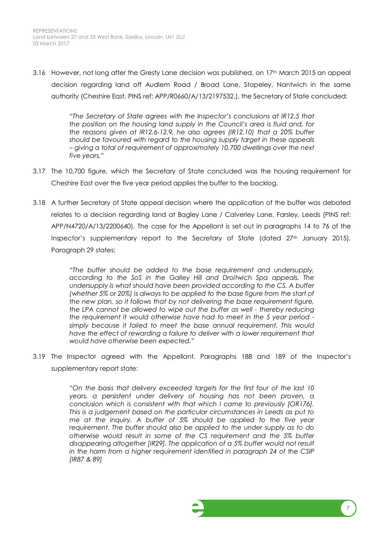3.16 However, not long after the Gresty Lane decision was published, on 17th March 2015 an appeal decision regarding land off Audlem Road / Broad Lane, Stapeley, Nantwich in the same authority (Cheshire East, PINS ref: APP/R0660/A/13/2197532,), the Secretary of State concluded:

> "*The Secretary of State agrees with the Inspector's conclusions at IR12.5 that the position on the housing land supply in the Council's area is fluid and, for the reasons given at IR12.6-12.9, he also agrees (IR12.10) that a 20% buffer should be favoured with regard to the housing supply target in these appeals – giving a total of requirement of approximately 10,700 dwellings over the next five years."*

- 3.17 The 10,700 figure, which the Secretary of State concluded was the housing requirement for Cheshire East over the five year period applies the buffer to the backlog.
- 3.18 A further Secretary of State appeal decision where the application of the buffer was debated relates to a decision regarding land at Bagley Lane / Calverley Lane, Farsley, Leeds (PINS ref: APP/N4720/A/13/2200640). The case for the Appellant is set out in paragraphs 14 to 76 of the Inspector's supplementary report to the Secretary of State (dated  $27<sup>th</sup>$  January 2015). Paragraph 29 states:

*"The buffer should be added to the base requirement and undersupply, according to the SoS in the Galley Hill and Droitwich Spa appeals. The*  undersupply is what should have been provided according to the CS. A buffer *(whether 5% or 20%) is always to be applied to the base figure from the start of the new plan, so it follows that by not delivering the base requirement figure, the LPA cannot be allowed to wipe out the buffer as well - thereby reducing the requirement it would otherwise have had to meet in the 5 year period simply because it failed to meet the base annual requirement. This would*  have the effect of rewarding a failure to deliver with a lower requirement that *would have otherwise been expected."*

3.19 The Inspector agreed with the Appellant. Paragraphs 188 and 189 of the Inspector's supplementary report state:

> *"On the basis that delivery exceeded targets for the first four of the last 10 years, a persistent under delivery of housing has not been proven, a conclusion which is consistent with that which I came to previously [OR176]. This is a judgement based on the particular circumstances in Leeds as put to me at the inquiry. A buffer of 5% should be applied to the five year requirement. The buffer should also be applied to the under supply as to do otherwise would result in some of the CS requirement and the 5% buffer*  disappearing altogether [IR29]. The application of a 5% buffer would not result *in the harm from a higher requirement identified in paragraph 24 of the CSIP [IR87 & 89]*

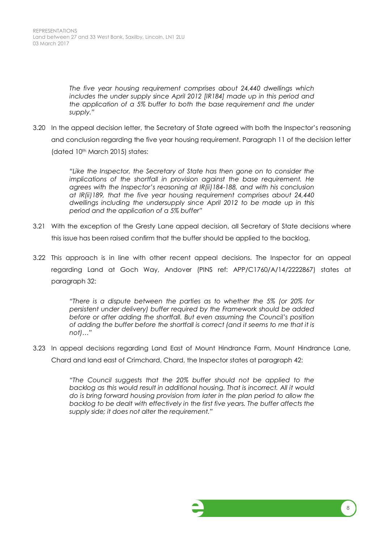*The five year housing requirement comprises about 24,440 dwellings which includes the under supply since April 2012 [IR184] made up in this period and the application of a 5% buffer to both the base requirement and the under supply."*

3.20 In the appeal decision letter, the Secretary of State agreed with both the Inspector's reasoning and conclusion regarding the five year housing requirement. Paragraph 11 of the decision letter (dated 10th March 2015) states:

> *"Like the Inspector, the Secretary of State has then gone on to consider the implications of the shortfall in provision against the base requirement. He agrees with the Inspector's reasoning at IR(ii)184-188, and with his conclusion at IR(ii)189, that the five year housing requirement comprises about 24,440 dwellings including the undersupply since April 2012 to be made up in this period and the application of a 5% buffer"*

- 3.21 With the exception of the Gresty Lane appeal decision, all Secretary of State decisions where this issue has been raised confirm that the buffer should be applied to the backlog.
- 3.22 This approach is in line with other recent appeal decisions. The Inspector for an appeal regarding Land at Goch Way, Andover (PINS ref: APP/C1760/A/14/2222867) states at paragraph 32:

*"There is a dispute between the parties as to whether the 5% (or 20% for persistent under delivery) buffer required by the Framework should be added before or after adding the shortfall. But even assuming the Council's position of adding the buffer before the shortfall is correct (and it seems to me that it is not)…"*

3.23 In appeal decisions regarding Land East of Mount Hindrance Farm, Mount Hindrance Lane, Chard and land east of Crimchard, Chard, the Inspector states at paragraph 42:

> *"The Council suggests that the 20% buffer should not be applied to the backlog as this would result in additional housing. That is incorrect. All it would do is bring forward housing provision from later in the plan period to allow the backlog to be dealt with effectively in the first five years. The buffer affects the supply side; it does not alter the requirement."*

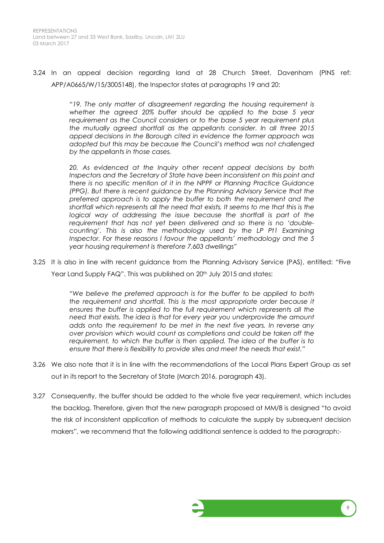3.24 In an appeal decision regarding land at 28 Church Street, Davenham (PINS ref: APP/A0665/W/15/3005148), the Inspector states at paragraphs 19 and 20:

> *"19. The only matter of disagreement regarding the housing requirement is whether the agreed 20% buffer should be applied to the base 5 year requirement as the Council considers or to the base 5 year requirement plus the mutually agreed shortfall as the appellants consider. In all three 2015 appeal decisions in the Borough cited in evidence the former approach was adopted but this may be because the Council's method was not challenged by the appellants in those cases.*

> *20. As evidenced at the Inquiry other recent appeal decisions by both Inspectors and the Secretary of State have been inconsistent on this point and there is no specific mention of it in the NPPF or Planning Practice Guidance (PPG). But there is recent guidance by the Planning Advisory Service that the preferred approach is to apply the buffer to both the requirement and the shortfall which represents all the need that exists. It seems to me that this is the logical way of addressing the issue because the shortfall is part of the requirement that has not yet been delivered and so there is no 'doublecounting'. This is also the methodology used by the LP Pt1 Examining Inspector. For these reasons I favour the appellants' methodology and the 5 year housing requirement is therefore 7,603 dwellings"*

3.25 It is also in line with recent guidance from the Planning Advisory Service (PAS), entitled: "Five Year Land Supply FAQ". This was published on 20<sup>th</sup> July 2015 and states:

> *"We believe the preferred approach is for the buffer to be applied to both the requirement and shortfall. This is the most appropriate order because it ensures the buffer is applied to the full requirement which represents all the need that exists. The idea is that for every year you underprovide the amount adds onto the requirement to be met in the next five years. In reverse any over provision which would count as completions and could be taken off the requirement, to which the buffer is then applied. The idea of the buffer is to ensure that there is flexibility to provide sites and meet the needs that exist."*

- 3.26 We also note that it is in line with the recommendations of the Local Plans Expert Group as set out in its report to the Secretary of State (March 2016, paragraph 43).
- 3.27 Consequently, the buffer should be added to the whole five year requirement, which includes the backlog. Therefore, given that the new paragraph proposed at MM/8 is designed "to avoid the risk of inconsistent application of methods to calculate the supply by subsequent decision makers", we recommend that the following additional sentence is added to the paragraph:-

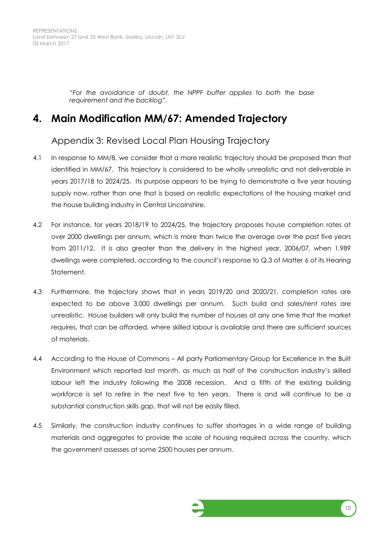REPRESENTATIONS Land between 27 and 33 West Bank, Saxilby, Lincoln, LN1 2LU 03 March 2017

> *"For the avoidance of doubt, the NPPF buffer applies to both the base requirement and the backlog".*

#### **4. Main Modification MM/67: Amended Trajectory**

#### Appendix 3: Revised Local Plan Housing Trajectory

- 4.1 In response to MM/8, we consider that a more realistic trajectory should be proposed than that identified in MM/67. This trajectory is considered to be wholly unrealistic and not deliverable in years 2017/18 to 2024/25. Its purpose appears to be trying to demonstrate a five year housing supply now, rather than one that is based on realistic expectations of the housing market and the house building industry in Central Lincolnshire.
- 4.2 For instance, for years 2018/19 to 2024/25, the trajectory proposes house completion rates at over 2000 dwellings per annum, which is more than twice the average over the past five years from 2011/12. It is also greater than the delivery in the highest year, 2006/07, when 1,989 dwellings were completed, according to the council's response to Q.3 of Matter 6 of its Hearing Statement.
- 4.3 Furthermore, the trajectory shows that in years 2019/20 and 2020/21, completion rates are expected to be above 3,000 dwellings per annum. Such build and sales/rent rates are unrealistic. House builders will only build the number of houses at any one time that the market requires, that can be afforded, where skilled labour is available and there are sufficient sources of materials.
- 4.4 According to the House of Commons All party Parliamentary Group for Excellence in the Built Environment which reported last month, as much as half of the construction industry's skilled labour left the industry following the 2008 recession. And a fifth of the existing building workforce is set to retire in the next five to ten years. There is and will continue to be a substantial construction skills gap, that will not be easily filled.
- 4.5 Similarly, the construction industry continues to suffer shortages in a wide range of building materials and aggregates to provide the scale of housing required across the country, which the government assesses at some 2500 houses per annum.

<span id="page-12-0"></span>